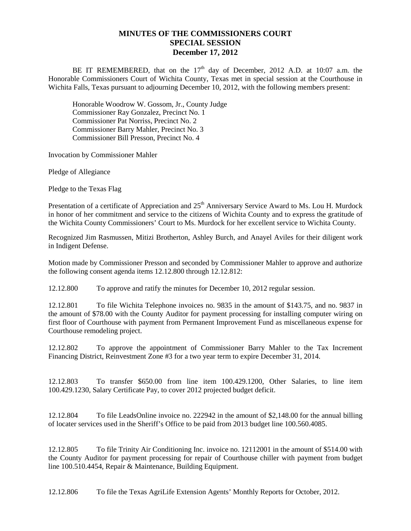## **MINUTES OF THE COMMISSIONERS COURT SPECIAL SESSION December 17, 2012**

BE IT REMEMBERED, that on the  $17<sup>th</sup>$  day of December, 2012 A.D. at 10:07 a.m. the Honorable Commissioners Court of Wichita County, Texas met in special session at the Courthouse in Wichita Falls, Texas pursuant to adjourning December 10, 2012, with the following members present:

Honorable Woodrow W. Gossom, Jr., County Judge Commissioner Ray Gonzalez, Precinct No. 1 Commissioner Pat Norriss, Precinct No. 2 Commissioner Barry Mahler, Precinct No. 3 Commissioner Bill Presson, Precinct No. 4

Invocation by Commissioner Mahler

Pledge of Allegiance

Pledge to the Texas Flag

Presentation of a certificate of Appreciation and 25<sup>th</sup> Anniversary Service Award to Ms. Lou H. Murdock in honor of her commitment and service to the citizens of Wichita County and to express the gratitude of the Wichita County Commissioners' Court to Ms. Murdock for her excellent service to Wichita County.

Recognized Jim Rasmussen, Mitizi Brotherton, Ashley Burch, and Anayel Aviles for their diligent work in Indigent Defense.

Motion made by Commissioner Presson and seconded by Commissioner Mahler to approve and authorize the following consent agenda items 12.12.800 through 12.12.812:

12.12.800 To approve and ratify the minutes for December 10, 2012 regular session.

12.12.801 To file Wichita Telephone invoices no. 9835 in the amount of \$143.75, and no. 9837 in the amount of \$78.00 with the County Auditor for payment processing for installing computer wiring on first floor of Courthouse with payment from Permanent Improvement Fund as miscellaneous expense for Courthouse remodeling project.

12.12.802 To approve the appointment of Commissioner Barry Mahler to the Tax Increment Financing District, Reinvestment Zone #3 for a two year term to expire December 31, 2014.

12.12.803 To transfer \$650.00 from line item 100.429.1200, Other Salaries, to line item 100.429.1230, Salary Certificate Pay, to cover 2012 projected budget deficit.

12.12.804 To file LeadsOnline invoice no. 222942 in the amount of \$2,148.00 for the annual billing of locater services used in the Sheriff's Office to be paid from 2013 budget line 100.560.4085.

12.12.805 To file Trinity Air Conditioning Inc. invoice no. 12112001 in the amount of \$514.00 with the County Auditor for payment processing for repair of Courthouse chiller with payment from budget line 100.510.4454, Repair & Maintenance, Building Equipment.

12.12.806 To file the Texas AgriLife Extension Agents' Monthly Reports for October, 2012.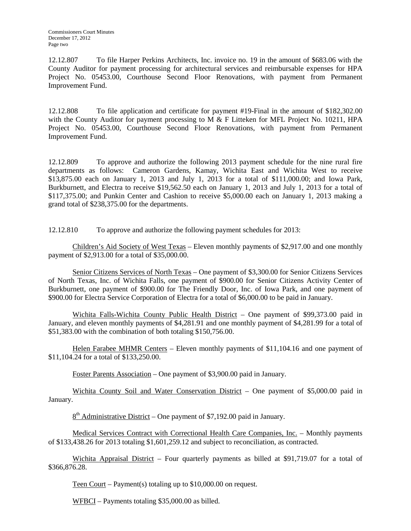12.12.807 To file Harper Perkins Architects, Inc. invoice no. 19 in the amount of \$683.06 with the County Auditor for payment processing for architectural services and reimbursable expenses for HPA Project No. 05453.00, Courthouse Second Floor Renovations, with payment from Permanent Improvement Fund.

12.12.808 To file application and certificate for payment #19-Final in the amount of \$182,302.00 with the County Auditor for payment processing to M & F Litteken for MFL Project No. 10211, HPA Project No. 05453.00, Courthouse Second Floor Renovations, with payment from Permanent Improvement Fund.

12.12.809 To approve and authorize the following 2013 payment schedule for the nine rural fire departments as follows: Cameron Gardens, Kamay, Wichita East and Wichita West to receive \$13,875.00 each on January 1, 2013 and July 1, 2013 for a total of \$111,000.00; and Iowa Park, Burkburnett, and Electra to receive \$19,562.50 each on January 1, 2013 and July 1, 2013 for a total of \$117,375.00; and Punkin Center and Cashion to receive \$5,000.00 each on January 1, 2013 making a grand total of \$238,375.00 for the departments.

12.12.810 To approve and authorize the following payment schedules for 2013:

Children's Aid Society of West Texas – Eleven monthly payments of \$2,917.00 and one monthly payment of \$2,913.00 for a total of \$35,000.00.

Senior Citizens Services of North Texas – One payment of \$3,300.00 for Senior Citizens Services of North Texas, Inc. of Wichita Falls, one payment of \$900.00 for Senior Citizens Activity Center of Burkburnett, one payment of \$900.00 for The Friendly Door, Inc. of Iowa Park, and one payment of \$900.00 for Electra Service Corporation of Electra for a total of \$6,000.00 to be paid in January.

Wichita Falls-Wichita County Public Health District – One payment of \$99,373.00 paid in January, and eleven monthly payments of \$4,281.91 and one monthly payment of \$4,281.99 for a total of \$51,383.00 with the combination of both totaling \$150,756.00.

Helen Farabee MHMR Centers – Eleven monthly payments of \$11,104.16 and one payment of \$11,104.24 for a total of \$133,250.00.

Foster Parents Association – One payment of \$3,900.00 paid in January.

Wichita County Soil and Water Conservation District – One payment of \$5,000.00 paid in January.

 $8<sup>th</sup>$  Administrative District – One payment of \$7,192.00 paid in January.

Medical Services Contract with Correctional Health Care Companies, Inc. – Monthly payments of \$133,438.26 for 2013 totaling \$1,601,259.12 and subject to reconciliation, as contracted.

Wichita Appraisal District – Four quarterly payments as billed at \$91,719.07 for a total of \$366,876.28.

Teen Court – Payment(s) totaling up to \$10,000.00 on request.

WFBCI – Payments totaling \$35,000.00 as billed.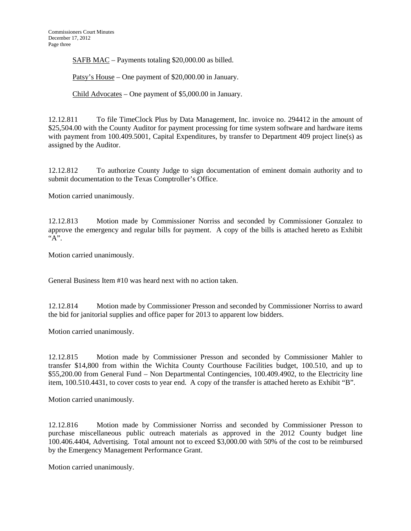SAFB MAC – Payments totaling \$20,000.00 as billed.

Patsy's House – One payment of \$20,000.00 in January.

Child Advocates – One payment of \$5,000.00 in January.

12.12.811 To file TimeClock Plus by Data Management, Inc. invoice no. 294412 in the amount of \$25,504.00 with the County Auditor for payment processing for time system software and hardware items with payment from 100.409.5001, Capital Expenditures, by transfer to Department 409 project line(s) as assigned by the Auditor.

12.12.812 To authorize County Judge to sign documentation of eminent domain authority and to submit documentation to the Texas Comptroller's Office.

Motion carried unanimously.

12.12.813 Motion made by Commissioner Norriss and seconded by Commissioner Gonzalez to approve the emergency and regular bills for payment. A copy of the bills is attached hereto as Exhibit "A".

Motion carried unanimously.

General Business Item #10 was heard next with no action taken.

12.12.814 Motion made by Commissioner Presson and seconded by Commissioner Norriss to award the bid for janitorial supplies and office paper for 2013 to apparent low bidders.

Motion carried unanimously.

12.12.815 Motion made by Commissioner Presson and seconded by Commissioner Mahler to transfer \$14,800 from within the Wichita County Courthouse Facilities budget, 100.510, and up to \$55,200.00 from General Fund – Non Departmental Contingencies, 100.409.4902, to the Electricity line item, 100.510.4431, to cover costs to year end. A copy of the transfer is attached hereto as Exhibit "B".

Motion carried unanimously.

12.12.816 Motion made by Commissioner Norriss and seconded by Commissioner Presson to purchase miscellaneous public outreach materials as approved in the 2012 County budget line 100.406.4404, Advertising. Total amount not to exceed \$3,000.00 with 50% of the cost to be reimbursed by the Emergency Management Performance Grant.

Motion carried unanimously.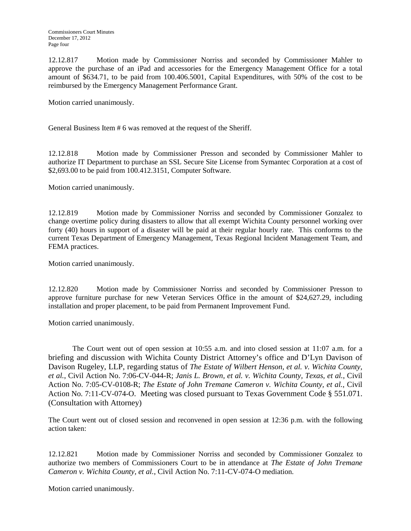12.12.817 Motion made by Commissioner Norriss and seconded by Commissioner Mahler to approve the purchase of an iPad and accessories for the Emergency Management Office for a total amount of \$634.71, to be paid from 100.406.5001, Capital Expenditures, with 50% of the cost to be reimbursed by the Emergency Management Performance Grant.

Motion carried unanimously.

General Business Item # 6 was removed at the request of the Sheriff.

12.12.818 Motion made by Commissioner Presson and seconded by Commissioner Mahler to authorize IT Department to purchase an SSL Secure Site License from Symantec Corporation at a cost of \$2,693.00 to be paid from 100.412.3151, Computer Software.

Motion carried unanimously.

12.12.819 Motion made by Commissioner Norriss and seconded by Commissioner Gonzalez to change overtime policy during disasters to allow that all exempt Wichita County personnel working over forty (40) hours in support of a disaster will be paid at their regular hourly rate. This conforms to the current Texas Department of Emergency Management, Texas Regional Incident Management Team, and FEMA practices.

Motion carried unanimously.

12.12.820 Motion made by Commissioner Norriss and seconded by Commissioner Presson to approve furniture purchase for new Veteran Services Office in the amount of \$24,627.29, including installation and proper placement, to be paid from Permanent Improvement Fund.

Motion carried unanimously.

The Court went out of open session at 10:55 a.m. and into closed session at 11:07 a.m. for a briefing and discussion with Wichita County District Attorney's office and D'Lyn Davison of Davison Rugeley, LLP, regarding status of *The Estate of Wilbert Henson, et al. v. Wichita County, et al.*, Civil Action No. 7:06-CV-044-R; *Janis L. Brown, et al. v. Wichita County, Texas, et al.*, Civil Action No. 7:05-CV-0108-R; *The Estate of John Tremane Cameron v. Wichita County, et al.*, Civil Action No. 7:11-CV-074-O. Meeting was closed pursuant to Texas Government Code § 551.071. (Consultation with Attorney)

The Court went out of closed session and reconvened in open session at 12:36 p.m. with the following action taken:

12.12.821 Motion made by Commissioner Norriss and seconded by Commissioner Gonzalez to authorize two members of Commissioners Court to be in attendance at *The Estate of John Tremane Cameron v. Wichita County, et al.*, Civil Action No. 7:11-CV-074-O mediation.

Motion carried unanimously.